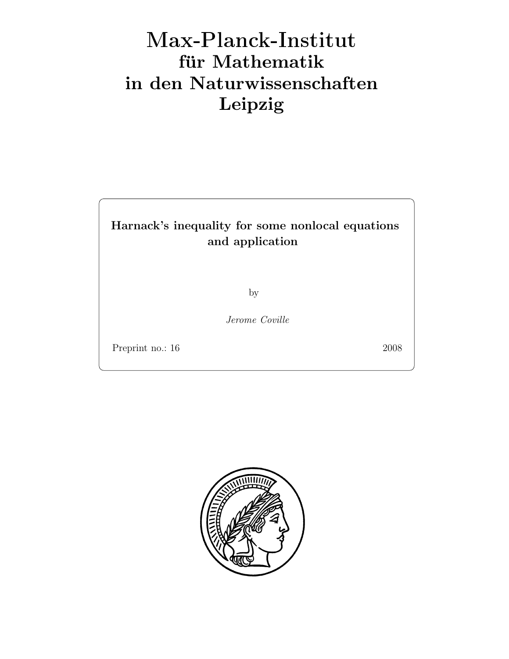# Max-Plan
k-Institut für Mathematik in den Naturwissenschaften Leipzig

## Harnack's inequality for some nonlocal equations and application

by

Jerome Coville

Preprint no.: 16 2008

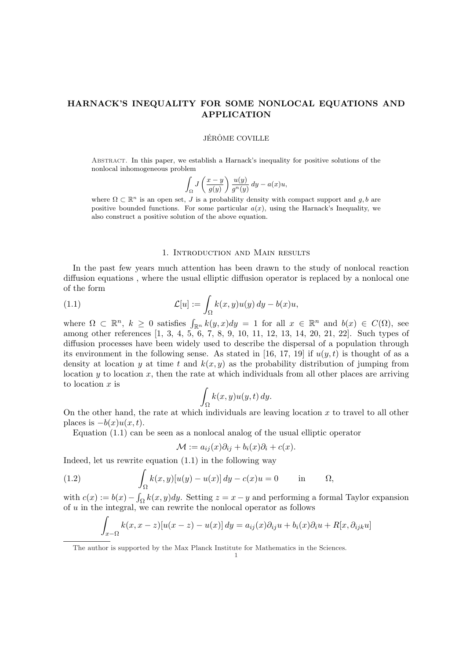## HARNACK'S INEQUALITY FOR SOME NONLOCAL EQUATIONS AND APPLICATION

#### **JÉRÔME COVILLE**

Abstract. In this paper, we establish a Harnack's inequality for positive solutions of the nonlocal inhomogeneous problem

$$
\int_{\Omega} J\left(\frac{x-y}{g(y)}\right) \frac{u(y)}{g^n(y)} dy - a(x)u,
$$

where  $\Omega \subset \mathbb{R}^n$  is an open set, J is a probability density with compact support and  $g, b$  are positive bounded functions. For some particular  $a(x)$ , using the Harnack's Inequality, we also construct a positive solution of the above equation.

#### 1. Introduction and Main results

In the past few years much attention has been drawn to the study of nonlocal reaction diffusion equations , where the usual elliptic diffusion operator is replaced by a nonlocal one of the form

(1.1) 
$$
\mathcal{L}[u] := \int_{\Omega} k(x, y)u(y) dy - b(x)u,
$$

where  $\Omega \subset \mathbb{R}^n$ ,  $k \geq 0$  satisfies  $\int_{\mathbb{R}^n} k(y, x) dy = 1$  for all  $x \in \mathbb{R}^n$  and  $b(x) \in C(\Omega)$ , see among other references [1, 3, 4, 5, 6, 7, 8, 9, 10, 11, 12, 13, 14, 20, 21, 22]. Such types of diffusion processes have been widely used to describe the dispersal of a population through its environment in the following sense. As stated in [16, 17, 19] if  $u(y, t)$  is thought of as a density at location y at time t and  $k(x, y)$  as the probability distribution of jumping from location  $y$  to location  $x$ , then the rate at which individuals from all other places are arriving to location  $x$  is

$$
\int_{\Omega} k(x, y) u(y, t) dy.
$$

On the other hand, the rate at which individuals are leaving location  $x$  to travel to all other places is  $-b(x)u(x,t)$ .

Equation (1.1) can be seen as a nonlocal analog of the usual elliptic operator

$$
\mathcal{M} := a_{ij}(x)\partial_{ij} + b_i(x)\partial_i + c(x).
$$

Indeed, let us rewrite equation (1.1) in the following way

(1.2) 
$$
\int_{\Omega} k(x,y)[u(y) - u(x)] dy - c(x)u = 0 \quad \text{in} \quad \Omega,
$$

with  $c(x) := b(x) - \int_{\Omega} k(x, y) dy$ . Setting  $z = x - y$  and performing a formal Taylor expansion of  $u$  in the integral, we can rewrite the nonlocal operator as follows

$$
\int_{x-\Omega} k(x, x-z)[u(x-z) - u(x)] dy = a_{ij}(x)\partial_{ij}u + b_i(x)\partial_i u + R[x, \partial_{ijk}u]
$$

The author is supported by the Max Planck Institute for Mathematics in the Sciences.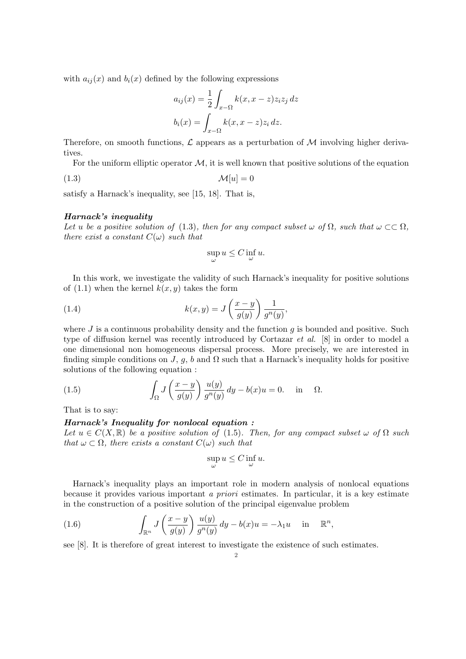with  $a_{ij}(x)$  and  $b_i(x)$  defined by the following expressions

$$
a_{ij}(x) = \frac{1}{2} \int_{x-\Omega} k(x, x-z) z_i z_j dz
$$

$$
b_i(x) = \int_{x-\Omega} k(x, x-z) z_i dz.
$$

Therefore, on smooth functions,  $\mathcal L$  appears as a perturbation of M involving higher derivatives.

For the uniform elliptic operator  $M$ , it is well known that positive solutions of the equation

$$
\mathcal{M}[u] = 0
$$

satisfy a Harnack's inequality, see [15, 18]. That is,

#### Harnack's inequality

Let u be a positive solution of (1.3), then for any compact subset  $\omega$  of  $\Omega$ , such that  $\omega \subset \Omega$ , there exist a constant  $C(\omega)$  such that

$$
\sup_{\omega} u \le C \inf_{\omega} u.
$$

In this work, we investigate the validity of such Harnack's inequality for positive solutions of  $(1.1)$  when the kernel  $k(x, y)$  takes the form

(1.4) 
$$
k(x,y) = J\left(\frac{x-y}{g(y)}\right) \frac{1}{g^n(y)},
$$

where  $J$  is a continuous probability density and the function  $q$  is bounded and positive. Such type of diffusion kernel was recently introduced by Cortazar et al. [8] in order to model a one dimensional non homogeneous dispersal process. More precisely, we are interested in finding simple conditions on J, g, b and  $\Omega$  such that a Harnack's inequality holds for positive solutions of the following equation :

(1.5) 
$$
\int_{\Omega} J\left(\frac{x-y}{g(y)}\right) \frac{u(y)}{g^n(y)} dy - b(x)u = 0. \text{ in } \Omega.
$$

That is to say:

## Harnack's Inequality for nonlocal equation :

Let  $u \in C(X,\mathbb{R})$  be a positive solution of (1.5). Then, for any compact subset  $\omega$  of  $\Omega$  such that  $\omega \subset \Omega$ , there exists a constant  $C(\omega)$  such that

$$
\sup_{\omega} u \le C \inf_{\omega} u.
$$

Harnack's inequality plays an important role in modern analysis of nonlocal equations because it provides various important a priori estimates. In particular, it is a key estimate in the construction of a positive solution of the principal eigenvalue problem

(1.6) 
$$
\int_{\mathbb{R}^n} J\left(\frac{x-y}{g(y)}\right) \frac{u(y)}{g^n(y)} dy - b(x)u = -\lambda_1 u \quad \text{in} \quad \mathbb{R}^n,
$$

see [8]. It is therefore of great interest to investigate the existence of such estimates.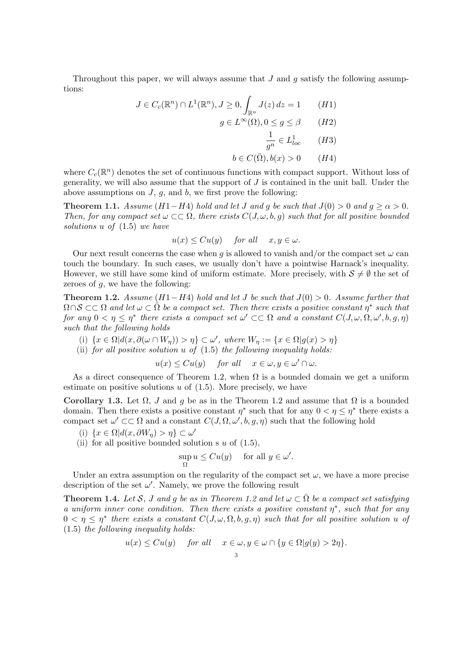Throughout this paper, we will always assume that  $J$  and  $q$  satisfy the following assumptions:

$$
J \in C_c(\mathbb{R}^n) \cap L^1(\mathbb{R}^n), J \ge 0, \int_{\mathbb{R}^n} J(z) dz = 1 \qquad (H1)
$$

$$
g \in L^\infty(\Omega), 0 \le g \le \beta \qquad (H2)
$$

$$
\frac{1}{g^n} \in L^1_{loc} \qquad (H3)
$$

$$
b \in C(\overline{\Omega}), b(x) > 0 \qquad (H4)
$$

where  $C_c(\mathbb{R}^n)$  denotes the set of continuous functions with compact support. Without loss of generality, we will also assume that the support of  $J$  is contained in the unit ball. Under the above assumptions on  $J, g$ , and  $b$ , we first prove the following:

**Theorem 1.1.** Assume (H1−H4) hold and let J and g be such that  $J(0) > 0$  and  $q \ge \alpha > 0$ . Then, for any compact set  $\omega \subset\subset \Omega$ , there exists  $C(J, \omega, b, g)$  such that for all positive bounded solutions u of (1.5) we have

$$
u(x) \leq Cu(y) \quad \text{ for all } \quad x, y \in \omega.
$$

Our next result concerns the case when g is allowed to vanish and/or the compact set  $\omega$  can touch the boundary. In such cases, we usually don't have a pointwise Harnack's inequality. However, we still have some kind of uniform estimate. More precisely, with  $S \neq \emptyset$  the set of zeroes of  $q$ , we have the following:

Theorem 1.2. Assume  $(H1-H4)$  hold and let J be such that  $J(0) > 0$ . Assume further that  $\Omega \cap S \subset\subset \Omega$  and let  $\omega \subset \tilde{\Omega}$  be a compact set. Then there exists a positive constant  $\eta^*$  such that for any  $0 < \eta \leq \eta^*$  there exists a compact set  $\omega' \subset\subset \Omega$  and a constant  $C(J, \omega, \Omega, \omega', b, g, \eta)$ such that the following holds

- (i)  $\{x \in \Omega | d(x, \partial(\omega \cap W_{\eta})) > \eta\} \subset \omega'$ , where  $W_{\eta} := \{x \in \Omega | g(x) > \eta\}$
- (ii) for all positive solution  $u$  of  $(1.5)$  the following inequality holds:

 $u(x) \leq Cu(y)$  for all  $x \in \omega, y \in \omega' \cap \omega$ .

As a direct consequence of Theorem 1.2, when  $\Omega$  is a bounded domain we get a uniform estimate on positive solutions  $u$  of  $(1.5)$ . More precisely, we have

Corollary 1.3. Let  $\Omega$ , J and g be as in the Theorem 1.2 and assume that  $\Omega$  is a bounded domain. Then there exists a positive constant  $\eta^*$  such that for any  $0 < \eta \leq \eta^*$  there exists a compact set  $\omega' \subset\subset \Omega$  and a constant  $C(J, \Omega, \omega', b, g, \eta)$  such that the following hold

- (i)  $\{x \in \Omega | d(x, \partial W_{\eta}) > \eta\} \subset \omega'$
- (ii) for all positive bounded solution s  $u$  of  $(1.5)$ ,

$$
\sup_{\Omega} u \leq C u(y) \quad \text{ for all } y \in \omega'.
$$

Under an extra assumption on the regularity of the compact set  $\omega$ , we have a more precise description of the set  $\omega'$ . Namely, we prove the following result

**Theorem 1.4.** Let S, J and g be as in Theorem 1.2 and let  $\omega \subset \overline{\Omega}$  be a compact set satisfying a uniform inner cone condition. Then there exists a positive constant  $\eta^*$ , such that for any  $0 < \eta \leq \eta^*$  there exists a constant  $C(J, \omega, \Omega, b, g, \eta)$  such that for all positive solution u of  $(1.5)$  the following inequality holds:

$$
u(x) \leq Cu(y)
$$
 for all  $x \in \omega, y \in \omega \cap \{y \in \Omega | g(y) > 2\eta\}.$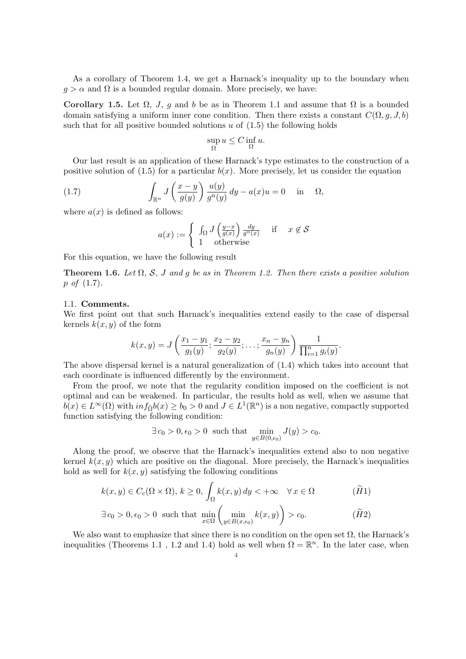As a corollary of Theorem 1.4, we get a Harnack's inequality up to the boundary when  $g > \alpha$  and  $\Omega$  is a bounded regular domain. More precisely, we have:

Corollary 1.5. Let  $\Omega$ , J, g and b be as in Theorem 1.1 and assume that  $\Omega$  is a bounded domain satisfying a uniform inner cone condition. Then there exists a constant  $C(\Omega, g, J, b)$ such that for all positive bounded solutions  $u$  of  $(1.5)$  the following holds

$$
\sup_{\Omega} u \le C \inf_{\Omega} u.
$$

Our last result is an application of these Harnack's type estimates to the construction of a positive solution of (1.5) for a particular  $b(x)$ . More precisely, let us consider the equation

(1.7) 
$$
\int_{\mathbb{R}^n} J\left(\frac{x-y}{g(y)}\right) \frac{u(y)}{g^n(y)} dy - a(x)u = 0 \quad \text{in} \quad \Omega,
$$

where  $a(x)$  is defined as follows:

$$
a(x) := \begin{cases} \int_{\Omega} J\left(\frac{y-x}{g(x)}\right) \frac{dy}{g^n(x)} & \text{if } x \notin \mathcal{S} \\ 1 & \text{otherwise} \end{cases}
$$

For this equation, we have the following result

**Theorem 1.6.** Let  $\Omega$ , S, J and g be as in Theorem 1.2. Then there exists a positive solution  $p \text{ of } (1.7).$ 

#### 1.1. Comments.

We first point out that such Harnack's inequalities extend easily to the case of dispersal kernels  $k(x, y)$  of the form

$$
k(x,y) = J\left(\frac{x_1 - y_1}{g_1(y)}; \frac{x_2 - y_2}{g_2(y)}; \dots; \frac{x_n - y_n}{g_n(y)}\right) \frac{1}{\prod_{i=1}^n g_i(y)}.
$$

The above dispersal kernel is a natural generalization of (1.4) which takes into account that each coordinate is influenced differently by the environment.

From the proof, we note that the regularity condition imposed on the coefficient is not optimal and can be weakened. In particular, the results hold as well, when we assume that  $b(x) \in L^{\infty}(\Omega)$  with  $inf_{\overline{\Omega}} b(x) \ge b_0 > 0$  and  $J \in L^1(\mathbb{R}^n)$  is a non negative, compactly supported function satisfying the following condition:

$$
\exists c_0 > 0, \epsilon_0 > 0 \text{ such that } \min_{y \in B(0,\epsilon_0)} J(y) > c_0.
$$

Along the proof, we observe that the Harnack's inequalities extend also to non negative kernel  $k(x, y)$  which are positive on the diagonal. More precisely, the Harnack's inequalities hold as well for  $k(x, y)$  satisfying the following conditions

$$
k(x, y) \in C_c(\Omega \times \Omega), k \ge 0, \int_{\Omega} k(x, y) dy < +\infty \quad \forall x \in \Omega
$$
  

$$
\exists c_0 > 0, \epsilon_0 > 0 \text{ such that } \min_{x \in \Omega} \left( \min_{y \in B(x, \epsilon_0)} k(x, y) \right) > c_0.
$$
  
( $\widetilde{H}2$ )

We also want to emphasize that since there is no condition on the open set  $\Omega$ , the Harnack's inequalities (Theorems 1.1, 1.2 and 1.4) hold as well when  $\Omega = \mathbb{R}^n$ . In the later case, when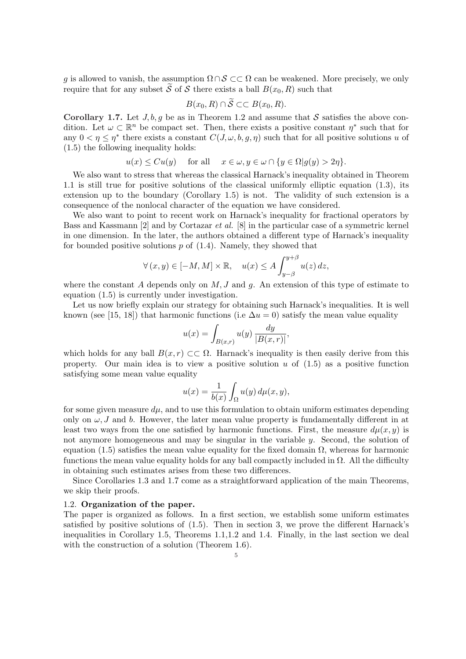g is allowed to vanish, the assumption  $\Omega \cap \mathcal{S} \subset\subset \Omega$  can be weakened. More precisely, we only require that for any subset  $\tilde{S}$  of  $S$  there exists a ball  $B(x_0,R)$  such that

$$
B(x_0, R) \cap S \subset\subset B(x_0, R).
$$

Corollary 1.7. Let  $J, b, q$  be as in Theorem 1.2 and assume that S satisfies the above condition. Let  $\omega \subset \mathbb{R}^n$  be compact set. Then, there exists a positive constant  $\eta^*$  such that for any  $0 < \eta \leq \eta^*$  there exists a constant  $C(J, \omega, b, g, \eta)$  such that for all positive solutions u of (1.5) the following inequality holds:

$$
u(x) \leq Cu(y)
$$
 for all  $x \in \omega, y \in \omega \cap \{y \in \Omega | g(y) > 2\eta\}.$ 

We also want to stress that whereas the classical Harnack's inequality obtained in Theorem 1.1 is still true for positive solutions of the classical uniformly elliptic equation (1.3), its extension up to the boundary (Corollary 1.5) is not. The validity of such extension is a consequence of the nonlocal character of the equation we have considered.

We also want to point to recent work on Harnack's inequality for fractional operators by Bass and Kassmann [2] and by Cortazar et al. [8] in the particular case of a symmetric kernel in one dimension. In the later, the authors obtained a different type of Harnack's inequality for bounded positive solutions  $p$  of  $(1.4)$ . Namely, they showed that

$$
\forall (x, y) \in [-M, M] \times \mathbb{R}, \quad u(x) \le A \int_{y-\beta}^{y+\beta} u(z) dz,
$$

where the constant A depends only on  $M, J$  and q. An extension of this type of estimate to equation (1.5) is currently under investigation.

Let us now briefly explain our strategy for obtaining such Harnack's inequalities. It is well known (see [15, 18]) that harmonic functions (i.e  $\Delta u = 0$ ) satisfy the mean value equality

$$
u(x) = \int_{B(x,r)} u(y) \, \frac{dy}{|B(x,r)|},
$$

which holds for any ball  $B(x, r) \subset \subset \Omega$ . Harnack's inequality is then easily derive from this property. Our main idea is to view a positive solution  $u$  of  $(1.5)$  as a positive function satisfying some mean value equality

$$
u(x) = \frac{1}{b(x)} \int_{\Omega} u(y) d\mu(x, y),
$$

for some given measure  $d\mu$ , and to use this formulation to obtain uniform estimates depending only on  $\omega$ , J and b. However, the later mean value property is fundamentally different in at least two ways from the one satisfied by harmonic functions. First, the measure  $d\mu(x,y)$  is not anymore homogeneous and may be singular in the variable y. Second, the solution of equation (1.5) satisfies the mean value equality for the fixed domain  $Ω$ , whereas for harmonic functions the mean value equality holds for any ball compactly included in  $\Omega$ . All the difficulty in obtaining such estimates arises from these two differences.

Since Corollaries 1.3 and 1.7 come as a straightforward application of the main Theorems, we skip their proofs.

#### 1.2. Organization of the paper.

The paper is organized as follows. In a first section, we establish some uniform estimates satisfied by positive solutions of (1.5). Then in section 3, we prove the different Harnack's inequalities in Corollary 1.5, Theorems 1.1,1.2 and 1.4. Finally, in the last section we deal with the construction of a solution (Theorem 1.6).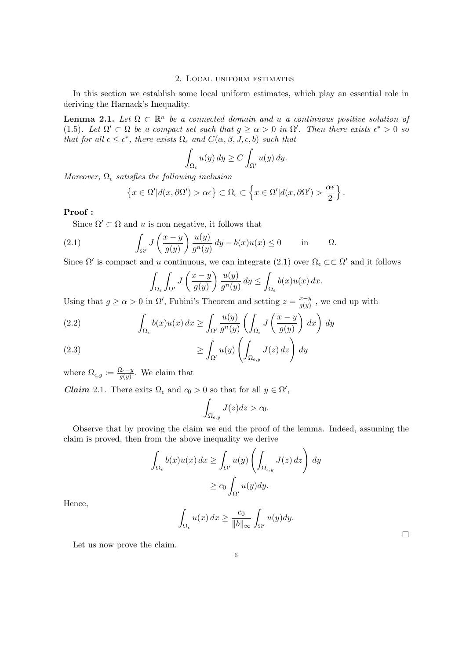#### 2. Local uniform estimates

In this section we establish some local uniform estimates, which play an essential role in deriving the Harnack's Inequality.

**Lemma 2.1.** Let  $\Omega \subset \mathbb{R}^n$  be a connected domain and u a continuous positive solution of (1.5). Let  $\Omega' \subset \Omega$  be a compact set such that  $g \ge \alpha > 0$  in  $\Omega'$ . Then there exists  $\epsilon^* > 0$  so that for all  $\epsilon \leq \epsilon^*$ , there exists  $\Omega_{\epsilon}$  and  $C(\alpha, \beta, J, \epsilon, b)$  such that

$$
\int_{\Omega_{\epsilon}} u(y) dy \ge C \int_{\Omega'} u(y) dy.
$$

Moreover,  $\Omega_{\epsilon}$  satisfies the following inclusion

$$
\left\{x \in \Omega' | d(x, \partial \Omega') > \alpha \epsilon\right\} \subset \Omega_{\epsilon} \subset \left\{x \in \Omega' | d(x, \partial \Omega') > \frac{\alpha \epsilon}{2}\right\}.
$$

## Proof :

Since  $\Omega' \subset \Omega$  and u is non negative, it follows that

(2.1) 
$$
\int_{\Omega'} J\left(\frac{x-y}{g(y)}\right) \frac{u(y)}{g^n(y)} dy - b(x)u(x) \le 0 \quad \text{in} \quad \Omega.
$$

Since  $\Omega'$  is compact and u continuous, we can integrate (2.1) over  $\Omega_{\epsilon} \subset \subset \Omega'$  and it follows

$$
\int_{\Omega_{\epsilon}} \int_{\Omega'} J\left(\frac{x-y}{g(y)}\right) \frac{u(y)}{g^n(y)} dy \le \int_{\Omega_{\epsilon}} b(x) u(x) dx.
$$

Using that  $g \ge \alpha > 0$  in  $\Omega'$ , Fubini's Theorem and setting  $z = \frac{x-y}{a(u)}$  $\frac{x-y}{g(y)}$ , we end up with

(2.2) 
$$
\int_{\Omega_{\epsilon}} b(x)u(x) dx \ge \int_{\Omega'} \frac{u(y)}{g^{n}(y)} \left( \int_{\Omega_{\epsilon}} J\left(\frac{x-y}{g(y)}\right) dx \right) dy
$$

(2.3) 
$$
\geq \int_{\Omega'} u(y) \left( \int_{\Omega_{\epsilon,y}} J(z) dz \right) dy
$$

where  $\Omega_{\epsilon,y} := \frac{\Omega_{\epsilon} - y}{q(y)}$  $\frac{\mu_e - y}{g(y)}$ . We claim that

Let us now prove the claim.

*Claim* 2.1. There exits  $\Omega_{\epsilon}$  and  $c_0 > 0$  so that for all  $y \in \Omega'$ ,

$$
\int_{\Omega_{\epsilon,y}} J(z)dz > c_0.
$$

Observe that by proving the claim we end the proof of the lemma. Indeed, assuming the claim is proved, then from the above inequality we derive

$$
\int_{\Omega_{\epsilon}} b(x)u(x) dx \ge \int_{\Omega'} u(y) \left( \int_{\Omega_{\epsilon,y}} J(z) dz \right) dy
$$
  
 
$$
\ge c_0 \int_{\Omega'} u(y) dy.
$$

Hence,

$$
\int_{\Omega_{\epsilon}} u(x) dx \ge \frac{c_0}{\|b\|_{\infty}} \int_{\Omega'} u(y) dy.
$$

6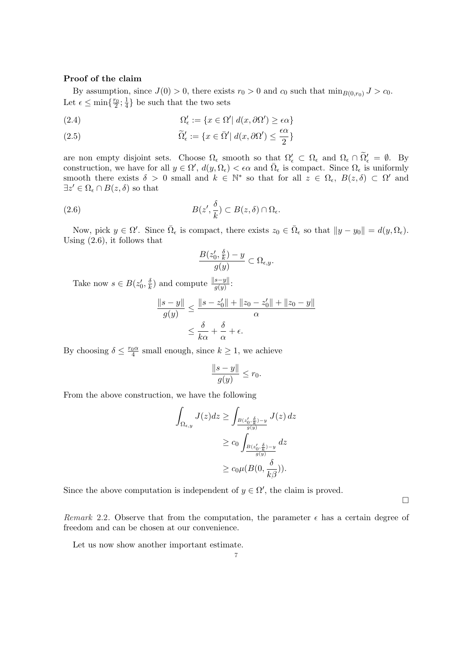#### Proof of the claim

By assumption, since  $J(0) > 0$ , there exists  $r_0 > 0$  and  $c_0$  such that  $\min_{B(0,r_0)} J > c_0$ . Let  $\epsilon \leq \min\{\frac{r_0}{2};\frac{1}{4}\}$  $\frac{1}{4}$ } be such that the two sets

(2.4) 
$$
\Omega'_{\epsilon} := \{ x \in \Omega' | d(x, \partial \Omega') \geq \epsilon \alpha \}
$$

(2.5) 
$$
\widetilde{\Omega}'_{\epsilon} := \{ x \in \overline{\Omega}' \mid d(x, \partial \Omega') \leq \frac{\epsilon \alpha}{2} \}
$$

are non empty disjoint sets. Choose  $\Omega_{\epsilon}$  smooth so that  $\Omega_{\epsilon}' \subset \Omega_{\epsilon}$  and  $\Omega_{\epsilon} \cap \Omega_{\epsilon}' = \emptyset$ . By construction, we have for all  $y \in \Omega'$ ,  $d(y, \Omega_{\epsilon}) < \epsilon \alpha$  and  $\overline{\Omega}_{\epsilon}$  is compact. Since  $\Omega_{\epsilon}$  is uniformly smooth there exists  $\delta > 0$  small and  $k \in \mathbb{N}^*$  so that for all  $z \in \Omega_{\epsilon}$ ,  $B(z, \delta) \subset \Omega'$  and  $\exists z' \in \Omega_{\epsilon} \cap B(z,\delta)$  so that

(2.6) 
$$
B(z', \frac{\delta}{k}) \subset B(z, \delta) \cap \Omega_{\epsilon}.
$$

Now, pick  $y \in \Omega'$ . Since  $\overline{\Omega}_{\epsilon}$  is compact, there exists  $z_0 \in \overline{\Omega}_{\epsilon}$  so that  $||y - y_0|| = d(y, \Omega_{\epsilon})$ . Using (2.6), it follows that

$$
\frac{B(z_0',\frac{\delta}{k})-y}{g(y)} \subset \Omega_{\epsilon,y}.
$$

Take now  $s \in B(z'_0, \frac{\delta}{k})$  $\frac{\delta}{k}$ ) and compute  $\frac{\|s-y\|}{g(y)}$ :

$$
\frac{\|s-y\|}{g(y)} \le \frac{\|s-z'_0\| + \|z_0 - z'_0\| + \|z_0 - y\|}{\alpha}
$$

$$
\le \frac{\delta}{k\alpha} + \frac{\delta}{\alpha} + \epsilon.
$$

By choosing  $\delta \leq \frac{r_0 \alpha}{4}$  small enough, since  $k \geq 1$ , we achieve

$$
\frac{\|s-y\|}{g(y)} \le r_0.
$$

From the above construction, we have the following

$$
\int_{\Omega_{\epsilon,y}} J(z)dz \ge \int_{\frac{B(z'_0, \frac{\delta}{k}) - y}{g(y)}} J(z) dz
$$
  
 
$$
\ge c_0 \int_{\frac{B(z'_0, \frac{\delta}{k}) - y}{g(y)}} dz
$$
  
 
$$
\ge c_0 \mu(B(0, \frac{\delta}{k\beta})).
$$

Since the above computation is independent of  $y \in \Omega'$ , the claim is proved.

 $\Box$ 

Remark 2.2. Observe that from the computation, the parameter  $\epsilon$  has a certain degree of freedom and can be chosen at our convenience.

Let us now show another important estimate.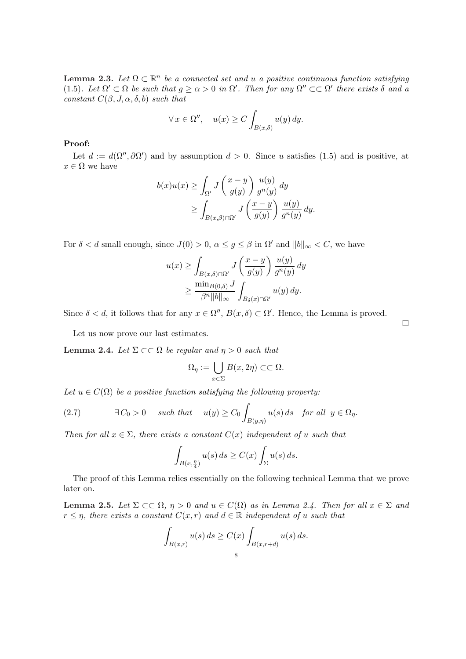**Lemma 2.3.** Let  $\Omega \subset \mathbb{R}^n$  be a connected set and u a positive continuous function satisfying (1.5). Let  $\Omega' \subset \Omega$  be such that  $g \ge \alpha > 0$  in  $\Omega'$ . Then for any  $\Omega'' \subset \subset \Omega'$  there exists  $\delta$  and a constant  $C(\beta, J, \alpha, \delta, b)$  such that

$$
\forall x \in \Omega'', \quad u(x) \ge C \int_{B(x,\delta)} u(y) \, dy.
$$

## Proof:

Let  $d := d(\Omega'', \partial \Omega')$  and by assumption  $d > 0$ . Since u satisfies (1.5) and is positive, at  $x\in\Omega$  we have

$$
b(x)u(x) \ge \int_{\Omega'} J\left(\frac{x-y}{g(y)}\right) \frac{u(y)}{g^n(y)} dy
$$
  
 
$$
\ge \int_{B(x,\beta)\cap\Omega'} J\left(\frac{x-y}{g(y)}\right) \frac{u(y)}{g^n(y)} dy.
$$

For  $\delta < d$  small enough, since  $J(0) > 0$ ,  $\alpha \leq g \leq \beta$  in  $\Omega'$  and  $||b||_{\infty} < C$ , we have

$$
u(x) \ge \int_{B(x,\delta)\cap\Omega'} J\left(\frac{x-y}{g(y)}\right) \frac{u(y)}{g^n(y)} dy
$$
  
 
$$
\ge \frac{\min_{B(0,\delta)} J}{\beta^n \|b\|_{\infty}} \int_{B_\delta(x)\cap\Omega'} u(y) dy.
$$

Since  $\delta < d$ , it follows that for any  $x \in \Omega''$ ,  $B(x, \delta) \subset \Omega'$ . Hence, the Lemma is proved.

Let us now prove our last estimates.

**Lemma 2.4.** Let  $\Sigma \subset\subset \Omega$  be regular and  $\eta > 0$  such that

$$
\Omega_{\eta} := \bigcup_{x \in \Sigma} B(x, 2\eta) \subset\subset \Omega.
$$

Let  $u \in C(\Omega)$  be a positive function satisfying the following property:

(2.7) 
$$
\exists C_0 > 0 \quad such \; that \quad u(y) \ge C_0 \int_{B(y,\eta)} u(s) \, ds \quad \text{for all} \; y \in \Omega_{\eta}.
$$

Then for all  $x \in \Sigma$ , there exists a constant  $C(x)$  independent of u such that

$$
\int_{B(x,\frac{\eta}{4})} u(s) \, ds \ge C(x) \int_{\Sigma} u(s) \, ds.
$$

The proof of this Lemma relies essentially on the following technical Lemma that we prove later on.

Lemma 2.5. Let  $\Sigma \subset \subset \Omega$ ,  $\eta > 0$  and  $u \in C(\Omega)$  as in Lemma 2.4. Then for all  $x \in \Sigma$  and  $r \leq \eta$ , there exists a constant  $C(x, r)$  and  $d \in \mathbb{R}$  independent of u such that

$$
\int_{B(x,r)} u(s) ds \ge C(x) \int_{B(x,r+d)} u(s) ds.
$$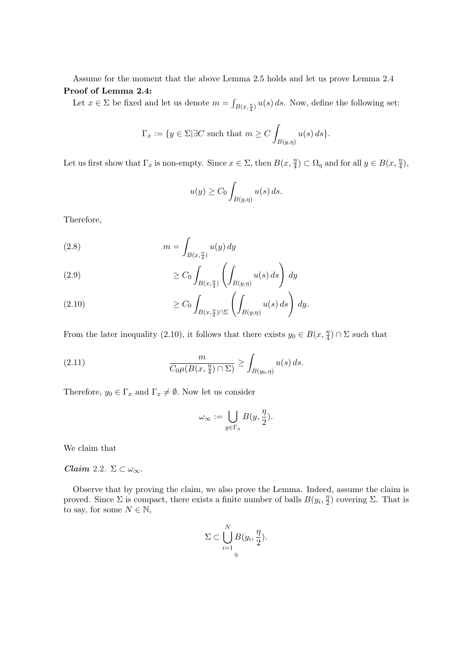Assume for the moment that the above Lemma 2.5 holds and let us prove Lemma 2.4 Proof of Lemma 2.4:

Let  $x \in \Sigma$  be fixed and let us denote  $m = \int_{B(x, \frac{\eta}{4})} u(s) ds$ . Now, define the following set:

$$
\Gamma_x := \{ y \in \Sigma | \exists C \text{ such that } m \ge C \int_{B(y,\eta)} u(s) \, ds \}.
$$

Let us first show that  $\Gamma_x$  is non-empty. Since  $x \in \Sigma$ , then  $B(x, \frac{\eta}{4})$  $\frac{\eta}{4}$ )  $\subset \Omega_{\eta}$  and for all  $y \in B(x, \frac{\eta}{4})$  $\frac{\eta}{4}),$ 

$$
u(y) \ge C_0 \int_{B(y,\eta)} u(s) \, ds.
$$

Therefore,

$$
(2.8)\qquad \qquad m = \int_{B(x,\frac{\eta}{4})} u(y) \, dy
$$

(2.9) 
$$
\geq C_0 \int_{B(x,\frac{\eta}{4})} \left( \int_{B(y,\eta)} u(s) ds \right) dy
$$

(2.10) 
$$
\geq C_0 \int_{B(x,\frac{\eta}{4}) \cap \Sigma} \left( \int_{B(y,\eta)} u(s) \, ds \right) \, dy.
$$

From the later inequality (2.10), it follows that there exists  $y_0 \in B(x, \frac{\eta}{4})$  $\frac{\eta}{4}) \cap \Sigma$  such that

(2.11) 
$$
\frac{m}{C_0\mu(B(x,\frac{\eta}{4})\cap\Sigma)} \ge \int_{B(y_0,\eta)} u(s)\,ds.
$$

Therefore,  $y_0 \in \Gamma_x$  and  $\Gamma_x \neq \emptyset$ . Now let us consider

$$
\omega_{\infty} := \bigcup_{y \in \Gamma_x} B(y, \frac{\eta}{2}).
$$

We claim that

Claim 2.2.  $\Sigma \subset \omega_{\infty}$ .

Observe that by proving the claim, we also prove the Lemma. Indeed, assume the claim is proved. Since  $\Sigma$  is compact, there exists a finite number of balls  $B(y_i, \frac{\eta}{2})$  $(\frac{\eta}{2})$  covering  $\Sigma$ . That is to say, for some  $N \in \mathbb{N}$ ,

$$
\Sigma \subset \bigcup_{i=1}^N B(y_i, \frac{\eta}{2}).
$$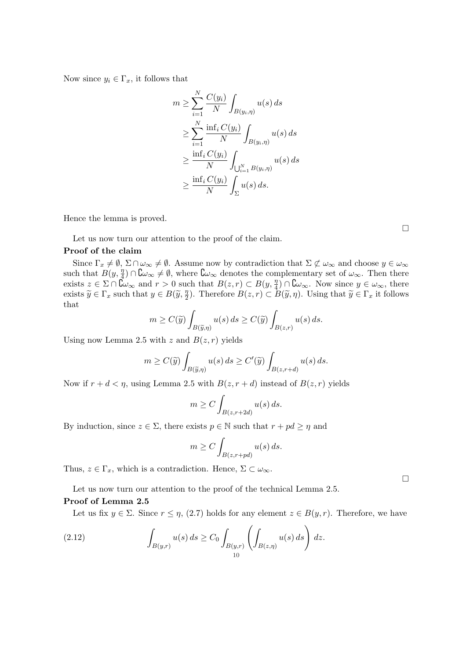Now since  $y_i \in \Gamma_x$ , it follows that

$$
m \geq \sum_{i=1}^{N} \frac{C(y_i)}{N} \int_{B(y_i, \eta)} u(s) ds
$$
  
\n
$$
\geq \sum_{i=1}^{N} \frac{\inf_i C(y_i)}{N} \int_{B(y_i, \eta)} u(s) ds
$$
  
\n
$$
\geq \frac{\inf_i C(y_i)}{N} \int_{\bigcup_{i=1}^{N} B(y_i, \eta)} u(s) ds
$$
  
\n
$$
\geq \frac{\inf_i C(y_i)}{N} \int_{\Sigma} u(s) ds.
$$

Hence the lemma is proved.

Let us now turn our attention to the proof of the claim.

## Proof of the claim

Since  $\Gamma_x \neq \emptyset$ ,  $\Sigma \cap \omega_{\infty} \neq \emptyset$ . Assume now by contradiction that  $\Sigma \not\subset \omega_{\infty}$  and choose  $y \in \omega_{\infty}$ such that  $B(y, \frac{\eta}{4})$  $\frac{\eta}{4}$ ) ∩  $\mathcal{C}\omega_{\infty}\neq\emptyset$ , where  $\mathcal{C}\omega_{\infty}$  denotes the complementary set of  $\omega_{\infty}$ . Then there exists  $z \in \Sigma \cap \mathcal{C}_{\infty}$  and  $r > 0$  such that  $B(z, r) \subset B(y, \frac{\eta}{4})$  $\frac{\eta}{4}) \cap \mathbb{C} \omega_{\infty}$ . Now since  $y \in \omega_{\infty}$ , there exists  $\widetilde{y} \in \Gamma_x$  such that  $y \in B(\widetilde{y}, \frac{\eta}{2})$  $\frac{\eta}{2}$ ). Therefore  $B(z,r) \subset B(\tilde{y},\eta)$ . Using that  $\tilde{y} \in \Gamma_x$  it follows that

$$
m \ge C(\widetilde{y}) \int_{B(\widetilde{y}, \eta)} u(s) \, ds \ge C(\widetilde{y}) \int_{B(z,r)} u(s) \, ds.
$$

Using now Lemma 2.5 with z and  $B(z, r)$  yields

$$
m \ge C(\widetilde{y}) \int_{B(\widetilde{y}, \eta)} u(s) \, ds \ge C'(\widetilde{y}) \int_{B(z, r+d)} u(s) \, ds.
$$

Now if  $r + d < \eta$ , using Lemma 2.5 with  $B(z, r + d)$  instead of  $B(z, r)$  yields

$$
m \ge C \int_{B(z,r+2d)} u(s) \, ds.
$$

By induction, since  $z \in \Sigma$ , there exists  $p \in \mathbb{N}$  such that  $r + pd \ge \eta$  and

$$
m \ge C \int_{B(z,r+pd)} u(s) \, ds.
$$

Thus,  $z \in \Gamma_x$ , which is a contradiction. Hence,  $\Sigma \subset \omega_{\infty}$ .

Let us now turn our attention to the proof of the technical Lemma 2.5.

## Proof of Lemma 2.5

Let us fix  $y \in \Sigma$ . Since  $r \leq \eta$ , (2.7) holds for any element  $z \in B(y, r)$ . Therefore, we have

(2.12) 
$$
\int_{B(y,r)} u(s) ds \ge C_0 \int_{B(y,r)} \left( \int_{B(z,\eta)} u(s) ds \right) dz.
$$

¤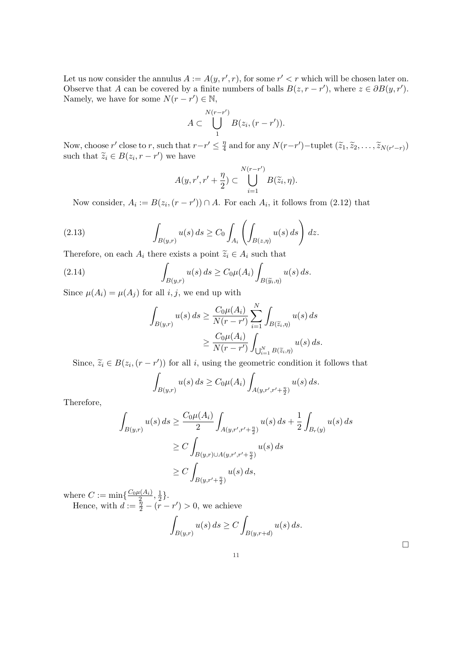Let us now consider the annulus  $A := A(y, r', r)$ , for some  $r' < r$  which will be chosen later on. Observe that A can be covered by a finite numbers of balls  $B(z, r - r')$ , where  $z \in \partial B(y, r')$ . Namely, we have for some  $N(r - r') \in \mathbb{N}$ ,

$$
A \subset \bigcup_{1}^{N(r-r')} B(z_i, (r-r')).
$$

Now, choose r' close to r, such that  $r-r' \leq \frac{\eta}{4}$  $\frac{\eta}{4}$  and for any  $N(r-r')$  – tuplet  $(\widetilde{z}_1, \widetilde{z}_2, \ldots, \widetilde{z}_{N(r'-r)})$ such that  $\widetilde{z}_i \in B(z_i, r - r')$  we have

$$
A(y,r',r'+\frac{\eta}{2}) \subset \bigcup_{i=1}^{N(r-r')} B(\widetilde{z}_i,\eta).
$$

Now consider,  $A_i := B(z_i, (r - r')) \cap A$ . For each  $A_i$ , it follows from (2.12) that

(2.13) 
$$
\int_{B(y,r)} u(s) ds \geq C_0 \int_{A_i} \left( \int_{B(z,\eta)} u(s) ds \right) dz.
$$

Therefore, on each  $A_i$  there exists a point  $\widetilde{z}_i \in A_i$  such that

(2.14) 
$$
\int_{B(y,r)} u(s) ds \geq C_0 \mu(A_i) \int_{B(\widetilde{y}_i,\eta)} u(s) ds.
$$

Since  $\mu(A_i) = \mu(A_i)$  for all *i*, *j*, we end up with

$$
\int_{B(y,r)} u(s) ds \ge \frac{C_0 \mu(A_i)}{N(r - r')} \sum_{i=1}^N \int_{B(\widetilde{z}_i, \eta)} u(s) ds
$$
  
 
$$
\ge \frac{C_0 \mu(A_i)}{N(r - r')} \int_{\bigcup_{i=1}^N B(\widetilde{z}_i, \eta)} u(s) ds.
$$

Since,  $\widetilde{z}_i \in B(z_i, (r - r'))$  for all i, using the geometric condition it follows that

$$
\int_{B(y,r)} u(s) ds \ge C_0 \mu(A_i) \int_{A(y,r',r'+\frac{\eta}{2})} u(s) ds.
$$

Therefore,

$$
\int_{B(y,r)} u(s) ds \ge \frac{C_0 \mu(A_i)}{2} \int_{A(y,r',r'+\frac{\eta}{2})} u(s) ds + \frac{1}{2} \int_{B_r(y)} u(s) ds
$$
  
\n
$$
\ge C \int_{B(y,r) \cup A(y,r',r'+\frac{\eta}{2})} u(s) ds
$$
  
\n
$$
\ge C \int_{B(y,r'+\frac{\eta}{2})} u(s) ds,
$$

where  $C := \min\{\frac{C_0 \mu(A_i)}{2}$  $\frac{\iota(A_i)}{2},\frac{1}{2}$  $\frac{1}{2}$ .

Hence, with  $d := \frac{\tilde{\eta}}{2} - (r - r') > 0$ , we achieve

$$
\int_{B(y,r)} u(s) ds \ge C \int_{B(y,r+d)} u(s) ds.
$$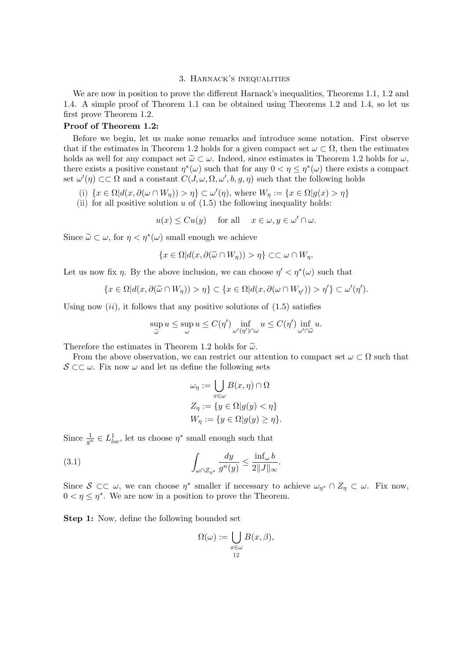#### 3. Harnack's inequalities

We are now in position to prove the different Harnack's inequalities, Theorems 1.1, 1.2 and 1.4. A simple proof of Theorem 1.1 can be obtained using Theorems 1.2 and 1.4, so let us first prove Theorem 1.2.

## Proof of Theorem 1.2:

Before we begin, let us make some remarks and introduce some notation. First observe that if the estimates in Theorem 1.2 holds for a given compact set  $\omega \subset \Omega$ , then the estimates holds as well for any compact set  $\tilde{\omega} \subset \omega$ . Indeed, since estimates in Theorem 1.2 holds for  $\omega$ , there exists a positive constant  $\eta^*(\omega)$  such that for any  $0 < \eta \leq \eta^*(\omega)$  there exists a compact set  $\omega'(\eta) \subset\subset \Omega$  and a constant  $C(J, \omega, \Omega, \omega', b, g, \eta)$  such that the following holds

- (i)  $\{x \in \Omega | d(x, \partial(\omega \cap W_{\eta})) > \eta\} \subset \omega'(\eta)$ , where  $W_{\eta} := \{x \in \Omega | g(x) > \eta\}$
- (ii) for all positive solution  $u$  of  $(1.5)$  the following inequality holds:

 $u(x) \leq Cu(y)$  for all  $x \in \omega, y \in \omega' \cap \omega$ .

Since  $\widetilde{\omega} \subset \omega$ , for  $\eta < \eta^*(\omega)$  small enough we achieve

$$
\{x \in \Omega | d(x, \partial(\widetilde{\omega} \cap W_{\eta})) > \eta\} \subset \subset \omega \cap W_{\eta}.
$$

Let us now fix  $\eta$ . By the above inclusion, we can choose  $\eta' < \eta^*(\omega)$  such that

$$
\{x \in \Omega | d(x, \partial(\widetilde{\omega} \cap W_{\eta})) > \eta\} \subset \{x \in \Omega | d(x, \partial(\omega \cap W_{\eta'})) > \eta'\} \subset \omega'(\eta').
$$

Using now  $(ii)$ , it follows that any positive solutions of  $(1.5)$  satisfies

$$
\sup_{\widetilde{\omega}} u \le \sup_{\omega} u \le C(\eta') \inf_{\omega'(\eta') \cap \omega} u \le C(\eta') \inf_{\omega' \cap \widetilde{\omega}} u.
$$

Therefore the estimates in Theorem 1.2 holds for  $\tilde{\omega}$ .

From the above observation, we can restrict our attention to compact set  $\omega \subset \Omega$  such that  $\mathcal{S} \subset \subset \omega$ . Fix now  $\omega$  and let us define the following sets

$$
\omega_{\eta} := \bigcup_{x \in \omega} B(x, \eta) \cap \Omega
$$
  

$$
Z_{\eta} := \{ y \in \Omega | g(y) < \eta \}
$$
  

$$
W_{\eta} := \{ y \in \Omega | g(y) \ge \eta \}.
$$

Since  $\frac{1}{g^n} \in L^1_{loc}$ , let us choose  $\eta^*$  small enough such that

(3.1) 
$$
\int_{\omega \cap Z_{\eta^*}} \frac{dy}{g^n(y)} \leq \frac{\inf_{\omega} b}{2||J||_{\infty}}
$$

Since  $S \subset \subset \omega$ , we can choose  $\eta^*$  smaller if necessary to achieve  $\omega_{\eta^*} \cap Z_{\eta} \subset \omega$ . Fix now,  $0 < \eta \leq \eta^*$ . We are now in a position to prove the Theorem.

.

Step 1: Now, define the following bounded set

$$
\Omega(\omega) := \bigcup_{\substack{x \in \omega \\ 12}} B(x, \beta),
$$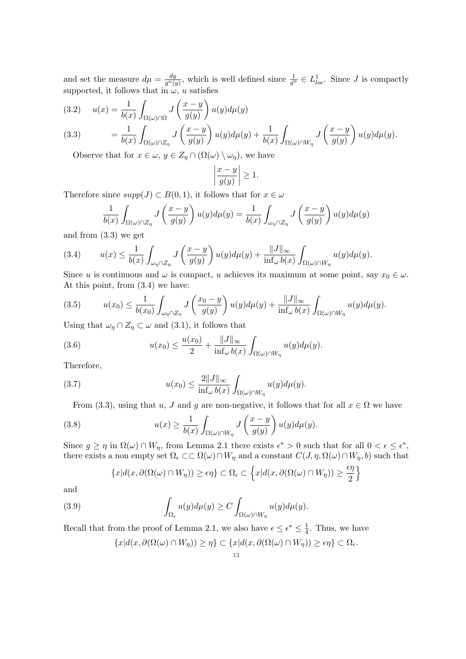and set the measure  $d\mu = \frac{dy}{dt}$  $\frac{dy}{g^n(y)}$ , which is well defined since  $\frac{1}{g^n} \in L^1_{loc}$ . Since J is compactly supported, it follows that in  $\omega, u$  satisfies

(3.2) 
$$
u(x) = \frac{1}{b(x)} \int_{\Omega(\omega) \cap \Omega} J\left(\frac{x-y}{g(y)}\right) u(y) d\mu(y)
$$
  
(3.3) 
$$
= \frac{1}{b(x)} \int_{\Omega(\omega) \cap Z_{\eta}} J\left(\frac{x-y}{g(y)}\right) u(y) d\mu(y) + \frac{1}{b(x)} \int_{\Omega(\omega) \cap W_{\eta}} J\left(\frac{x-y}{g(y)}\right) u(y) d\mu(y).
$$

Observe that for  $x \in \omega$ ,  $y \in Z_n \cap (\Omega(\omega) \setminus \omega_n)$ , we have

$$
\left|\frac{x-y}{g(y)}\right| \ge 1.
$$

Therefore since  $supp(J) \subset B(0,1)$ , it follows that for  $x \in \omega$ 

$$
\frac{1}{b(x)} \int_{\Omega(\omega) \cap Z_{\eta}} J\left(\frac{x-y}{g(y)}\right) u(y) d\mu(y) = \frac{1}{b(x)} \int_{\omega_{\eta} \cap Z_{\eta}} J\left(\frac{x-y}{g(y)}\right) u(y) d\mu(y)
$$

and from (3.3) we get

(3.4) 
$$
u(x) \leq \frac{1}{b(x)} \int_{\omega_{\eta} \cap Z_{\eta}} J\left(\frac{x-y}{g(y)}\right) u(y) d\mu(y) + \frac{\|J\|_{\infty}}{\inf_{\omega} b(x)} \int_{\Omega(\omega) \cap W_{\eta}} u(y) d\mu(y).
$$

Since u is continuous and  $\omega$  is compact, u achieves its maximum at some point, say  $x_0 \in \omega$ . At this point, from (3.4) we have:

$$
(3.5) \t u(x_0) \leq \frac{1}{b(x_0)} \int_{\omega_\eta \cap Z_\eta} J\left(\frac{x_0 - y}{g(y)}\right) u(y) d\mu(y) + \frac{\|J\|_{\infty}}{\inf_{\omega} b(x)} \int_{\Omega(\omega) \cap W_\eta} u(y) d\mu(y).
$$

Using that  $\omega_{\eta} \cap Z_{\eta} \subset \omega$  and (3.1), it follows that

(3.6) 
$$
u(x_0) \leq \frac{u(x_0)}{2} + \frac{\|J\|_{\infty}}{\inf_{\omega} b(x)} \int_{\Omega(\omega) \cap W_{\eta}} u(y) d\mu(y).
$$

Therefore,

(3.7) 
$$
u(x_0) \leq \frac{2||J||_{\infty}}{\inf_{\omega} b(x)} \int_{\Omega(\omega) \cap W_{\eta}} u(y) d\mu(y).
$$

From (3.3), using that u, J and g are non-negative, it follows that for all  $x \in \Omega$  we have

(3.8) 
$$
u(x) \geq \frac{1}{b(x)} \int_{\Omega(\omega) \cap W_{\eta}} J\left(\frac{x-y}{g(y)}\right) u(y) d\mu(y).
$$

Since  $g \ge \eta$  in  $\Omega(\omega) \cap W_{\eta}$ , from Lemma 2.1 there exists  $\epsilon^* > 0$  such that for all  $0 < \epsilon \le \epsilon^*$ , there exists a non empty set  $\Omega_{\epsilon} \subset \subset \Omega(\omega) \cap W_{\eta}$  and a constant  $C(J, \eta, \Omega(\omega) \cap W_{\eta}, b)$  such that

$$
\{x|d(x,\partial(\Omega(\omega)\cap W_{\eta}))\geq \epsilon\eta\}\subset \Omega_{\epsilon}\subset \left\{x|d(x,\partial(\Omega(\omega)\cap W_{\eta}))\geq \frac{\epsilon\eta}{2}\right\}
$$

and

(3.9) 
$$
\int_{\Omega_{\epsilon}} u(y) d\mu(y) \geq C \int_{\Omega(\omega) \cap W_{\eta}} u(y) d\mu(y).
$$

Recall that from the proof of Lemma 2.1, we also have  $\epsilon \leq \epsilon^* \leq \frac{1}{4}$  $\frac{1}{4}$ . Thus, we have

$$
\{x|d(x,\partial(\Omega(\omega)\cap W_{\eta}))\geq\eta\}\subset\{x|d(x,\partial(\Omega(\omega)\cap W_{\eta}))\geq\epsilon\eta\}\subset\Omega_{\epsilon}.
$$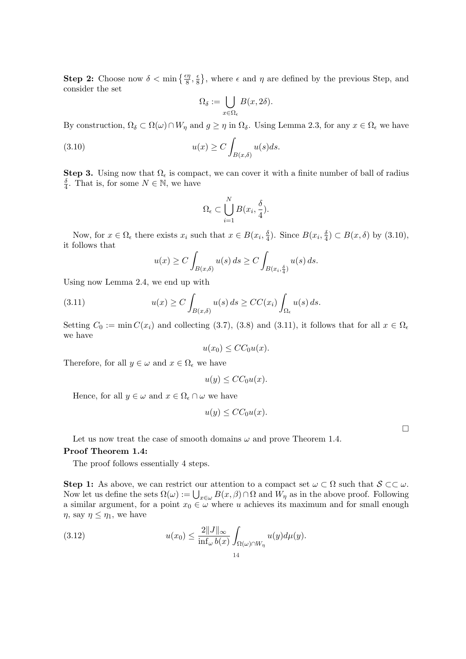**Step 2:** Choose now  $\delta < \min\left\{\frac{\epsilon\eta}{8}, \frac{\epsilon}{8}\right\}$  $\frac{\epsilon}{8}$ , where  $\epsilon$  and  $\eta$  are defined by the previous Step, and consider the set

$$
\Omega_{\delta} := \bigcup_{x \in \Omega_{\epsilon}} B(x, 2\delta).
$$

By construction,  $\Omega_{\delta} \subset \Omega(\omega) \cap W_{\eta}$  and  $g \geq \eta$  in  $\Omega_{\delta}$ . Using Lemma 2.3, for any  $x \in \Omega_{\epsilon}$  we have

(3.10) 
$$
u(x) \ge C \int_{B(x,\delta)} u(s)ds.
$$

**Step 3.** Using now that  $\Omega_{\epsilon}$  is compact, we can cover it with a finite number of ball of radius δ  $\frac{\delta}{4}$ . That is, for some  $N \in \mathbb{N}$ , we have

$$
\Omega_{\epsilon} \subset \bigcup_{i=1}^{N} B(x_i, \frac{\delta}{4}).
$$

Now, for  $x \in \Omega_{\epsilon}$  there exists  $x_i$  such that  $x \in B(x_i, \frac{\delta}{4})$  $\frac{\delta}{4}$ ). Since  $B(x_i, \frac{\delta}{4})$  $\frac{\delta}{4}$ )  $\subset B(x,\delta)$  by  $(3.10)$ , it follows that

$$
u(x) \ge C \int_{B(x,\delta)} u(s) ds \ge C \int_{B(x_i,\frac{\delta}{4})} u(s) ds.
$$

Using now Lemma 2.4, we end up with

(3.11) 
$$
u(x) \ge C \int_{B(x,\delta)} u(s) ds \ge CC(x_i) \int_{\Omega_{\epsilon}} u(s) ds.
$$

Setting  $C_0 := \min C(x_i)$  and collecting (3.7), (3.8) and (3.11), it follows that for all  $x \in \Omega_{\epsilon}$ we have

$$
u(x_0) \le CC_0 u(x).
$$

Therefore, for all  $y \in \omega$  and  $x \in \Omega_{\epsilon}$  we have

$$
u(y) \leq CC_0 u(x).
$$

Hence, for all  $y \in \omega$  and  $x \in \Omega_{\epsilon} \cap \omega$  we have

$$
u(y) \leq CC_0 u(x).
$$

 $\Box$ 

Let us now treat the case of smooth domains  $\omega$  and prove Theorem 1.4.

#### Proof Theorem 1.4:

The proof follows essentially 4 steps.

**Step 1:** As above, we can restrict our attention to a compact set  $\omega \subset \Omega$  such that  $S \subset\subset \omega$ . Now let us define the sets  $\Omega(\omega) := \bigcup_{x \in \omega} B(x, \beta) \cap \Omega$  and  $W_{\eta}$  as in the above proof. Following a similar argument, for a point  $x_0 \in \omega$  where u achieves its maximum and for small enough  $\eta$ , say  $\eta \leq \eta_1$ , we have

(3.12) 
$$
u(x_0) \leq \frac{2||J||_{\infty}}{\inf_{\omega} b(x)} \int_{\Omega(\omega) \cap W_{\eta}} u(y) d\mu(y).
$$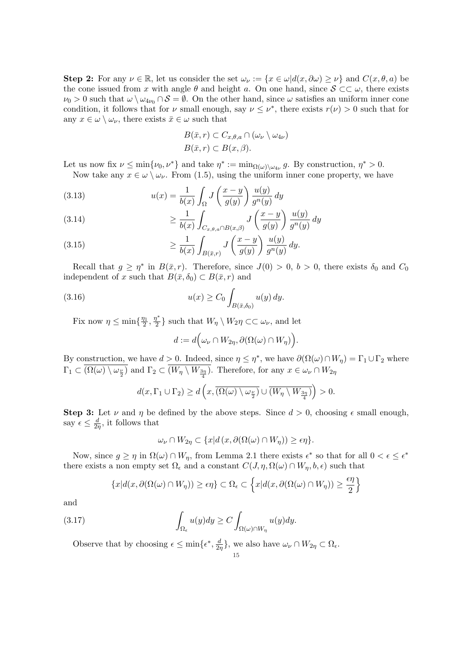Step 2: For any  $\nu \in \mathbb{R}$ , let us consider the set  $\omega_{\nu} := \{x \in \omega | d(x, \partial \omega) \ge \nu\}$  and  $C(x, \theta, a)$  be the cone issued from x with angle  $\theta$  and height a. On one hand, since  $S \subset\subset \omega$ , there exists  $\nu_0 > 0$  such that  $\omega \setminus \omega_{4\nu_0} \cap S = \emptyset$ . On the other hand, since  $\omega$  satisfies an uniform inner cone condition, it follows that for  $\nu$  small enough, say  $\nu \leq \nu^*$ , there exists  $r(\nu) > 0$  such that for any  $x \in \omega \setminus \omega_{\nu}$ , there exists  $\bar{x} \in \omega$  such that

$$
B(\bar{x}, r) \subset C_{x,\theta,a} \cap (\omega_{\nu} \setminus \omega_{4\nu})
$$
  

$$
B(\bar{x}, r) \subset B(x, \beta).
$$

Let us now fix  $\nu \le \min\{\nu_0, \nu^*\}$  and take  $\eta^* := \min_{\Omega(\omega) \setminus \omega_{4\nu}} g$ . By construction,  $\eta^* > 0$ . Now take any  $x \in \omega \setminus \omega_{\nu}$ . From (1.5), using the uniform inner cone property, we have

(3.13) 
$$
u(x) = \frac{1}{b(x)} \int_{\Omega} J\left(\frac{x-y}{g(y)}\right) \frac{u(y)}{g^n(y)} dy
$$

(3.14) 
$$
\geq \frac{1}{b(x)} \int_{C_{x,\theta,a} \cap B(x,\beta)} J\left(\frac{x-y}{g(y)}\right) \frac{u(y)}{g^n(y)} dy
$$

(3.15) 
$$
\geq \frac{1}{b(x)} \int_{B(\bar{x},r)} J\left(\frac{x-y}{g(y)}\right) \frac{u(y)}{g^n(y)} dy.
$$

Recall that  $g \geq \eta^*$  in  $B(\bar{x}, r)$ . Therefore, since  $J(0) > 0$ ,  $b > 0$ , there exists  $\delta_0$  and  $C_0$ independent of x such that  $B(\bar{x},\delta_0) \subset B(\bar{x},r)$  and

(3.16) 
$$
u(x) \ge C_0 \int_{B(\bar{x}, \delta_0)} u(y) \, dy.
$$

Fix now  $\eta \leq \min\{\frac{\eta_1}{2}\}$  $\frac{\eta_1}{2}, \frac{\eta^*}{2}$  $\{\frac{\nu}{2}\}\$  such that  $W_{\eta}\setminus W_{2}\eta\subset\subset\omega_{\nu}$ , and let

$$
d := d\Big(\omega_{\nu} \cap W_{2\eta}, \partial(\Omega(\omega) \cap W_{\eta})\Big).
$$

By construction, we have  $d > 0$ . Indeed, since  $\eta \leq \eta^*$ , we have  $\partial(\Omega(\omega) \cap W_{\eta}) = \Gamma_1 \cup \Gamma_2$  where  $\Gamma_1 \subset (\Omega(\omega) \setminus \omega_{\frac{\nu}{2}})$  and  $\Gamma_2 \subset (W_\eta \setminus W_{\frac{3\eta}{4}})$ . Therefore, for any  $x \in \omega_{\nu} \cap W_{2\eta}$ 

$$
d(x, \Gamma_1 \cup \Gamma_2) \ge d\left(x, \overline{(\Omega(\omega) \setminus \omega_{\frac{\nu}{2}})} \cup \overline{(W_{\eta} \setminus W_{\frac{3\eta}{4}})}\right) > 0.
$$

**Step 3:** Let  $\nu$  and  $\eta$  be defined by the above steps. Since  $d > 0$ , choosing  $\epsilon$  small enough, say  $\epsilon \leq \frac{d}{2i}$  $\frac{a}{2\eta}$ , it follows that

$$
\omega_{\nu} \cap W_{2\eta} \subset \{x | d(x, \partial(\Omega(\omega) \cap W_{\eta})) \ge \epsilon \eta\}.
$$

Now, since  $g \ge \eta$  in  $\Omega(\omega) \cap W_{\eta}$ , from Lemma 2.1 there exists  $\epsilon^*$  so that for all  $0 < \epsilon \le \epsilon^*$ there exists a non empty set  $\Omega_{\epsilon}$  and a constant  $C(J,\eta,\Omega(\omega) \cap W_{\eta},b,\epsilon)$  such that

$$
\{x|d(x,\partial(\Omega(\omega)\cap W_{\eta}))\geq \epsilon\eta\}\subset\Omega_{\epsilon}\subset\left\{x|d(x,\partial(\Omega(\omega)\cap W_{\eta}))\geq\frac{\epsilon\eta}{2}\right\}
$$

and

(3.17) 
$$
\int_{\Omega_{\epsilon}} u(y) dy \ge C \int_{\Omega(\omega) \cap W_{\eta}} u(y) dy.
$$

Observe that by choosing  $\epsilon \leq \min\{\epsilon^*, \frac{d}{2\epsilon}\}$  $\frac{d}{2\eta}$ , we also have  $\omega_{\nu} \cap W_{2\eta} \subset \Omega_{\epsilon}$ . 15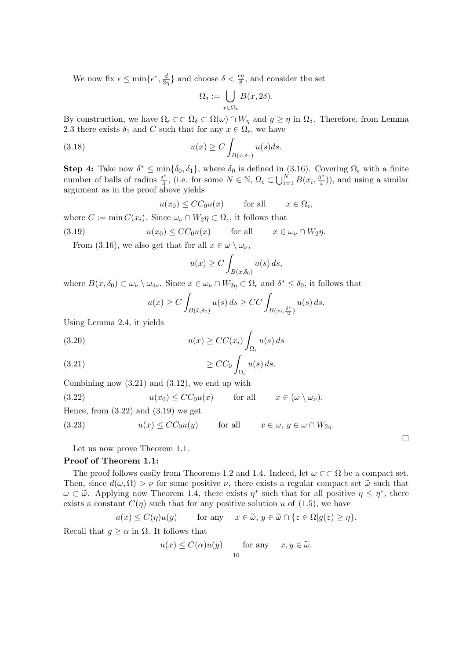We now fix  $\epsilon \leq \min\{\epsilon^*, \frac{d}{2\epsilon}\}$  $\frac{d}{2\eta}$  and choose  $\delta < \frac{\epsilon \eta}{8}$ , and consider the set

$$
\Omega_\delta:=\bigcup_{x\in\Omega_\epsilon}B(x,2\delta).
$$

By construction, we have  $\Omega_{\epsilon} \subset \Omega$   $\delta \subset \Omega(\omega) \cap W_{\eta}$  and  $g \geq \eta$  in  $\Omega_{\delta}$ . Therefore, from Lemma 2.3 there exists  $\delta_1$  and C such that for any  $x \in \Omega_{\epsilon}$ , we have

(3.18) 
$$
u(x) \ge C \int_{B(x,\delta_1)} u(s)ds.
$$

**Step 4:** Take now  $\delta^* \leq \min{\delta_0, \delta_1}$ , where  $\delta_0$  is defined in (3.16). Covering  $\Omega_{\epsilon}$  with a finite number of balls of radius  $\frac{\delta^*}{4}$  $\frac{\delta^*}{4}$ , (i.e. for some  $N \in \mathbb{N}$ ,  $\Omega_{\epsilon} \subset \bigcup_{i=1}^N B(x_i, \frac{\delta^*}{4})$  $\left(\frac{p^*}{4}\right)$ , and using a similar argument as in the proof above yields

$$
u(x_0) \le CC_0 u(x)
$$
 for all  $x \in \Omega_{\epsilon}$ ,

where  $C := \min C(x_i)$ . Since  $\omega_{\nu} \cap W_2 \eta \subset \Omega_{\epsilon}$ , it follows that

(3.19) 
$$
u(x_0) \le CC_0 u(x) \quad \text{for all} \quad x \in \omega_\nu \cap W_2 \eta.
$$

From (3.16), we also get that for all  $x \in \omega \setminus \omega_{\nu}$ ,

$$
u(x) \ge C \int_{B(\bar{x}, \delta_0)} u(s) \, ds,
$$

where  $B(\bar{x}, \delta_0) \subset \omega_{\nu} \setminus \omega_{4\nu}$ . Since  $\bar{x} \in \omega_{\nu} \cap W_{2\eta} \subset \Omega_{\epsilon}$  and  $\delta^* \leq \delta_0$ , it follows that

$$
u(x) \ge C \int_{B(\bar{x}, \delta_0)} u(s) ds \ge CC \int_{B(x_i, \frac{\delta^*}{2})} u(s) ds.
$$

Using Lemma 2.4, it yields

(3.20) 
$$
u(x) \ge CC(x_i) \int_{\Omega_{\epsilon}} u(s) ds
$$

$$
\geq CC_0 \int_{\Omega_{\epsilon}} u(s) \, ds.
$$

Combining now (3.21) and (3.12), we end up with

(3.22) 
$$
u(x_0) \le CC_0 u(x) \quad \text{for all} \quad x \in (\omega \setminus \omega_\nu).
$$

Hence, from  $(3.22)$  and  $(3.19)$  we get

(3.23)  $u(x) \leq CC_0u(y)$  for all  $x \in \omega, y \in \omega \cap W_{2n}$ .

Let us now prove Theorem 1.1.

## Proof of Theorem 1.1:

The proof follows easily from Theorems 1.2 and 1.4. Indeed, let  $\omega \subset\subset \Omega$  be a compact set. Then, since  $d(\omega, \Omega) > \nu$  for some positive  $\nu$ , there exists a regular compact set  $\tilde{\omega}$  such that  $\omega \subset \tilde{\omega}$ . Applying now Theorem 1.4, there exists  $\eta^*$  such that for all positive  $\eta \leq \eta^*$ , there exists a constant  $C(\eta)$  such that for any positive solution u of (1.5), we have

¤

$$
u(x) \le C(\eta)u(y)
$$
 for any  $x \in \tilde{\omega}, y \in \tilde{\omega} \cap \{z \in \Omega | g(z) \ge \eta\}.$ 

Recall that  $g \geq \alpha$  in  $\Omega$ . It follows that

$$
u(x) \le C(\alpha)u(y)
$$
 for any  $x, y \in \tilde{\omega}$ .  
16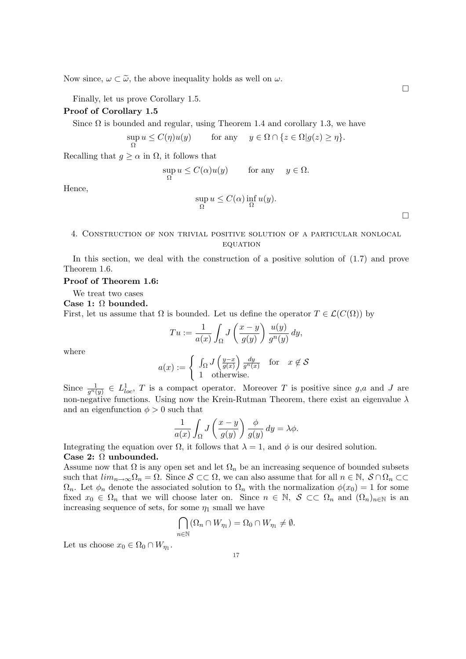Now since,  $\omega \subset \tilde{\omega}$ , the above inequality holds as well on  $\omega$ .

Finally, let us prove Corollary 1.5.

## Proof of Corollary 1.5

Since  $\Omega$  is bounded and regular, using Theorem 1.4 and corollary 1.3, we have

$$
\sup_{\Omega} u \le C(\eta)u(y) \qquad \text{for any} \quad y \in \Omega \cap \{z \in \Omega | g(z) \ge \eta\}.
$$

Recalling that  $g \geq \alpha$  in  $\Omega$ , it follows that

$$
\sup_{\Omega} u \le C(\alpha)u(y) \qquad \text{for any} \quad y \in \Omega.
$$
  

$$
\sup_{\Omega} u \le C(\alpha) \inf_{\Omega} u(y).
$$

## 4. Construction of non trivial positive solution of a particular nonlocal **EQUATION**

In this section, we deal with the construction of a positive solution of (1.7) and prove Theorem 1.6.

### Proof of Theorem 1.6:

We treat two cases

#### Case 1: Ω bounded.

First, let us assume that  $\Omega$  is bounded. Let us define the operator  $T \in \mathcal{L}(C(\Omega))$  by

$$
Tu := \frac{1}{a(x)} \int_{\Omega} J\left(\frac{x-y}{g(y)}\right) \frac{u(y)}{g^n(y)} dy,
$$

where

Hence,

$$
a(x) := \begin{cases} \int_{\Omega} J\left(\frac{y-x}{g(x)}\right) \frac{dy}{g^n(x)} & \text{for } x \notin \mathcal{S} \\ 1 & \text{otherwise.} \end{cases}
$$

Since  $\frac{1}{g^n(y)} \in L^1_{loc}, T$  is a compact operator. Moreover T is positive since g,a and J are non-negative functions. Using now the Krein-Rutman Theorem, there exist an eigenvalue  $\lambda$ and an eigenfunction  $\phi > 0$  such that

$$
\frac{1}{a(x)} \int_{\Omega} J\left(\frac{x-y}{g(y)}\right) \frac{\phi}{g(y)} dy = \lambda \phi.
$$

Integrating the equation over  $\Omega$ , it follows that  $\lambda = 1$ , and  $\phi$  is our desired solution. Case 2: Ω unbounded.

Assume now that  $\Omega$  is any open set and let  $\Omega_n$  be an increasing sequence of bounded subsets such that  $\lim_{n\to\infty} \Omega_n = \Omega$ . Since  $S \subset\subset \Omega$ , we can also assume that for all  $n \in \mathbb{N}$ ,  $S \cap \Omega_n \subset\subset$  $\Omega_n$ . Let  $\phi_n$  denote the associated solution to  $\Omega_n$  with the normalization  $\phi(x_0) = 1$  for some fixed  $x_0 \in \Omega_n$  that we will choose later on. Since  $n \in \mathbb{N}$ ,  $S \subset\subset \Omega_n$  and  $(\Omega_n)_{n\in\mathbb{N}}$  is an increasing sequence of sets, for some  $\eta_1$  small we have

$$
\bigcap_{n\in\mathbb{N}}(\Omega_n\cap W_{\eta_1})=\Omega_0\cap W_{\eta_1}\neq\emptyset.
$$

Let us choose  $x_0 \in \Omega_0 \cap W_{\eta_1}$ .

 $\Box$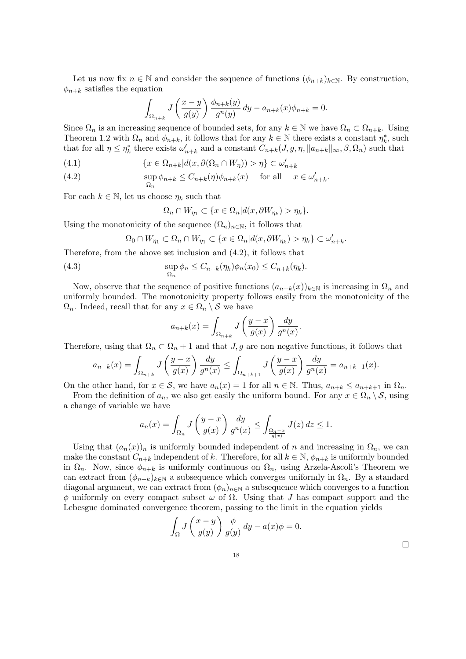Let us now fix  $n \in \mathbb{N}$  and consider the sequence of functions  $(\phi_{n+k})_{k \in \mathbb{N}}$ . By construction,  $\phi_{n+k}$  satisfies the equation

$$
\int_{\Omega_{n+k}} J\left(\frac{x-y}{g(y)}\right) \frac{\phi_{n+k}(y)}{g^n(y)} dy - a_{n+k}(x)\phi_{n+k} = 0.
$$

Since  $\Omega_n$  is an increasing sequence of bounded sets, for any  $k \in \mathbb{N}$  we have  $\Omega_n \subset \Omega_{n+k}$ . Using Theorem 1.2 with  $\Omega_n$  and  $\phi_{n+k}$ , it follows that for any  $k \in \mathbb{N}$  there exists a constant  $\eta_k^*$ , such that for all  $\eta \leq \eta_k^*$  there exists  $\omega'_{n+k}$  and a constant  $C_{n+k}(J,g,\eta,||a_{n+k}||_{\infty},\beta,\Omega_n)$  such that

(4.1) 
$$
\{x \in \Omega_{n+k} | d(x, \partial(\Omega_n \cap W_\eta)) > \eta\} \subset \omega'_{n+k}
$$

(4.2) 
$$
\sup_{\Omega_n} \phi_{n+k} \leq C_{n+k}(\eta)\phi_{n+k}(x) \quad \text{for all} \quad x \in \omega'_{n+k}.
$$

For each  $k \in \mathbb{N}$ , let us choose  $\eta_k$  such that

$$
\Omega_n \cap W_{\eta_1} \subset \{ x \in \Omega_n | d(x, \partial W_{\eta_k}) > \eta_k \}.
$$

Using the monotonicity of the sequence  $(\Omega_n)_{n\in\mathbb{N}}$ , it follows that

$$
\Omega_0 \cap W_{\eta_1} \subset \Omega_n \cap W_{\eta_1} \subset \{x \in \Omega_n | d(x, \partial W_{\eta_k}) > \eta_k\} \subset \omega'_{n+k}.
$$

Therefore, from the above set inclusion and (4.2), it follows that

(4.3) 
$$
\sup_{\Omega_n} \phi_n \leq C_{n+k}(\eta_k)\phi_n(x_0) \leq C_{n+k}(\eta_k).
$$

Now, observe that the sequence of positive functions  $(a_{n+k}(x))_{k\in\mathbb{N}}$  is increasing in  $\Omega_n$  and uniformly bounded. The monotonicity property follows easily from the monotonicity of the  $\Omega_n$ . Indeed, recall that for any  $x \in \Omega_n \setminus S$  we have

$$
a_{n+k}(x) = \int_{\Omega_{n+k}} J\left(\frac{y-x}{g(x)}\right) \frac{dy}{g^n(x)}.
$$

Therefore, using that  $\Omega_n \subset \Omega_n + 1$  and that  $J, g$  are non negative functions, it follows that

$$
a_{n+k}(x) = \int_{\Omega_{n+k}} J\left(\frac{y-x}{g(x)}\right) \frac{dy}{g^n(x)} \le \int_{\Omega_{n+k+1}} J\left(\frac{y-x}{g(x)}\right) \frac{dy}{g^n(x)} = a_{n+k+1}(x).
$$

On the other hand, for  $x \in \mathcal{S}$ , we have  $a_n(x) = 1$  for all  $n \in \mathbb{N}$ . Thus,  $a_{n+k} \le a_{n+k+1}$  in  $\Omega_n$ .

From the definition of  $a_n$ , we also get easily the uniform bound. For any  $x \in \Omega_n \setminus \mathcal{S}$ , using a change of variable we have

$$
a_n(x) = \int_{\Omega_n} J\left(\frac{y-x}{g(x)}\right) \frac{dy}{g^n(x)} \le \int_{\frac{\Omega_n - x}{g(x)}} J(z) dz \le 1.
$$

Using that  $(a_n(x))_n$  is uniformly bounded independent of n and increasing in  $\Omega_n$ , we can make the constant  $C_{n+k}$  independent of k. Therefore, for all  $k \in \mathbb{N}$ ,  $\phi_{n+k}$  is uniformly bounded in  $\Omega_n$ . Now, since  $\phi_{n+k}$  is uniformly continuous on  $\Omega_n$ , using Arzela-Ascoli's Theorem we can extract from  $(\phi_{n+k})_{k\in\mathbb{N}}$  a subsequence which converges uniformly in  $\Omega_n$ . By a standard diagonal argument, we can extract from  $(\phi_n)_{n\in\mathbb{N}}$  a subsequence which converges to a function  $φ$  uniformly on every compact subset  $ω$  of  $Ω$ . Using that J has compact support and the Lebesgue dominated convergence theorem, passing to the limit in the equation yields

$$
\int_{\Omega} J\left(\frac{x-y}{g(y)}\right) \frac{\phi}{g(y)} dy - a(x)\phi = 0.
$$